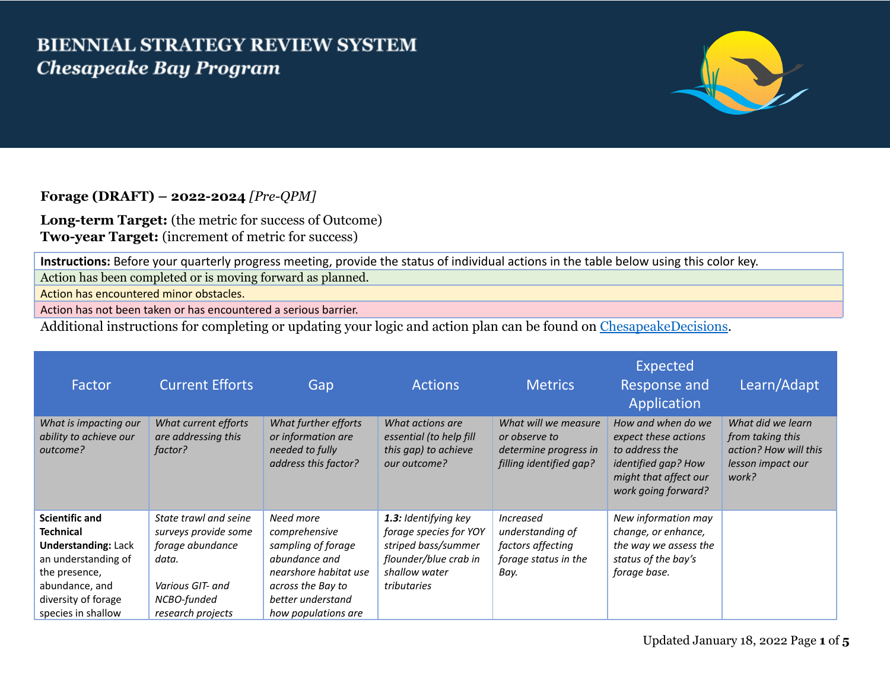## **BIENNIAL STRATEGY REVIEW SYSTEM Chesapeake Bay Program**



## **Forage (DRAFT) – 2022-2024** *[Pre-QPM]*

**Long-term Target:** (the metric for success of Outcome) **Two-year Target:** (increment of metric for success)

**Instructions:** Before your quarterly progress meeting, provide the status of individual actions in the table below using this color key.

Action has been completed or is moving forward as planned.

Action has encountered minor obstacles.

Action has not been taken or has encountered a serious barrier.

Additional instructions for completing or updating your logic and action plan can be found on [ChesapeakeDecisions.](http://www.chesapeakebay.net/decisions/srs-guide)

| Factor                                                      | <b>Current Efforts</b>                                 | Gap                                                                                   | <b>Actions</b>                                                                      | <b>Metrics</b>                                                                            | Expected<br><b>Response and</b><br>Application                                                                                      | Learn/Adapt                                                                                  |
|-------------------------------------------------------------|--------------------------------------------------------|---------------------------------------------------------------------------------------|-------------------------------------------------------------------------------------|-------------------------------------------------------------------------------------------|-------------------------------------------------------------------------------------------------------------------------------------|----------------------------------------------------------------------------------------------|
| What is impacting our<br>ability to achieve our<br>outcome? | What current efforts<br>are addressing this<br>factor? | What further efforts<br>or information are<br>needed to fully<br>address this factor? | What actions are<br>essential (to help fill<br>this gap) to achieve<br>our outcome? | What will we measure<br>or observe to<br>determine progress in<br>filling identified gap? | How and when do we<br>expect these actions<br>to address the<br>identified gap? How<br>might that affect our<br>work going forward? | What did we learn<br>from taking this<br>action? How will this<br>lesson impact our<br>work? |
| <b>Scientific and</b><br><b>Technical</b>                   | State trawl and seine<br>surveys provide some          | Need more<br>comprehensive                                                            | 1.3: Identifying key<br>forage species for YOY                                      | <i>Increased</i><br>understanding of                                                      | New information may<br>change, or enhance,                                                                                          |                                                                                              |
| <b>Understanding: Lack</b><br>an understanding of           | forage abundance<br>data.                              | sampling of forage<br>abundance and                                                   | striped bass/summer<br>flounder/blue crab in                                        | factors affecting<br>forage status in the                                                 | the way we assess the<br>status of the bay's                                                                                        |                                                                                              |
| the presence,                                               |                                                        | nearshore habitat use                                                                 | shallow water                                                                       | Bay.                                                                                      | forage base.                                                                                                                        |                                                                                              |
| abundance, and                                              | Various GIT- and                                       | across the Bay to                                                                     | tributaries                                                                         |                                                                                           |                                                                                                                                     |                                                                                              |
| diversity of forage                                         | NCBO-funded                                            | better understand                                                                     |                                                                                     |                                                                                           |                                                                                                                                     |                                                                                              |
| species in shallow                                          | research projects                                      | how populations are                                                                   |                                                                                     |                                                                                           |                                                                                                                                     |                                                                                              |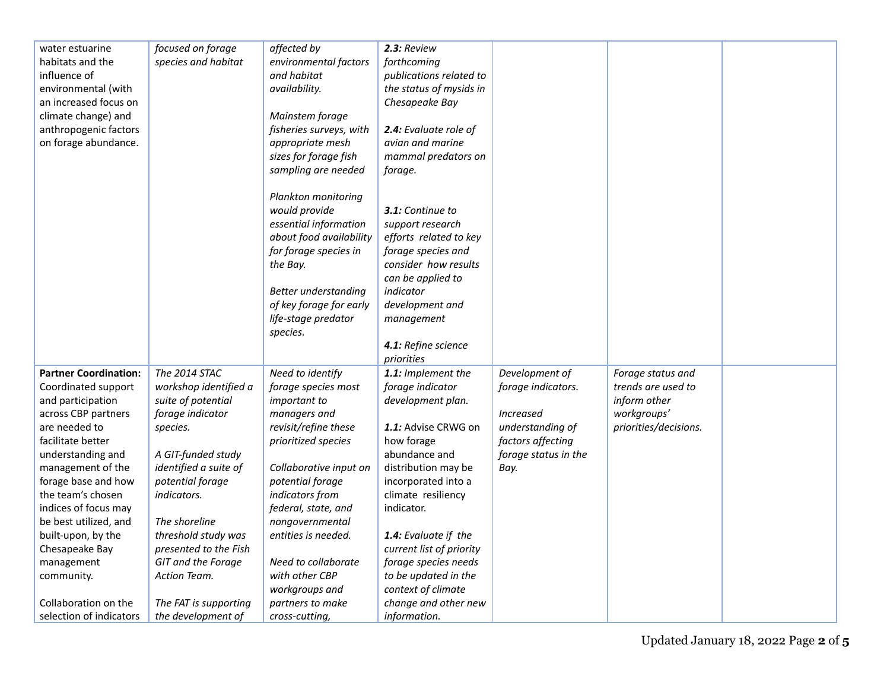| water estuarine              | focused on forage     | affected by             | 2.3: Review              |                      |                       |  |
|------------------------------|-----------------------|-------------------------|--------------------------|----------------------|-----------------------|--|
| habitats and the             | species and habitat   | environmental factors   | forthcoming              |                      |                       |  |
| influence of                 |                       | and habitat             | publications related to  |                      |                       |  |
| environmental (with          |                       | availability.           | the status of mysids in  |                      |                       |  |
| an increased focus on        |                       |                         | Chesapeake Bay           |                      |                       |  |
| climate change) and          |                       | Mainstem forage         |                          |                      |                       |  |
| anthropogenic factors        |                       | fisheries surveys, with | 2.4: Evaluate role of    |                      |                       |  |
| on forage abundance.         |                       | appropriate mesh        | avian and marine         |                      |                       |  |
|                              |                       | sizes for forage fish   | mammal predators on      |                      |                       |  |
|                              |                       | sampling are needed     | forage.                  |                      |                       |  |
|                              |                       | Plankton monitoring     |                          |                      |                       |  |
|                              |                       | would provide           | 3.1: Continue to         |                      |                       |  |
|                              |                       | essential information   | support research         |                      |                       |  |
|                              |                       | about food availability | efforts related to key   |                      |                       |  |
|                              |                       | for forage species in   | forage species and       |                      |                       |  |
|                              |                       | the Bay.                | consider how results     |                      |                       |  |
|                              |                       |                         | can be applied to        |                      |                       |  |
|                              |                       | Better understanding    | indicator                |                      |                       |  |
|                              |                       | of key forage for early | development and          |                      |                       |  |
|                              |                       | life-stage predator     | management               |                      |                       |  |
|                              |                       | species.                |                          |                      |                       |  |
|                              |                       |                         | 4.1: Refine science      |                      |                       |  |
|                              |                       |                         | priorities               |                      |                       |  |
| <b>Partner Coordination:</b> | The 2014 STAC         | Need to identify        | 1.1: Implement the       | Development of       | Forage status and     |  |
| Coordinated support          | workshop identified a | forage species most     | forage indicator         | forage indicators.   | trends are used to    |  |
| and participation            | suite of potential    | <i>important to</i>     | development plan.        |                      | inform other          |  |
| across CBP partners          | forage indicator      | managers and            |                          | Increased            | workgroups'           |  |
| are needed to                | species.              | revisit/refine these    | 1.1: Advise CRWG on      | understanding of     | priorities/decisions. |  |
| facilitate better            |                       | prioritized species     | how forage               | factors affecting    |                       |  |
| understanding and            | A GIT-funded study    |                         | abundance and            | forage status in the |                       |  |
| management of the            | identified a suite of | Collaborative input on  | distribution may be      | Bay.                 |                       |  |
| forage base and how          | potential forage      | potential forage        | incorporated into a      |                      |                       |  |
| the team's chosen            | indicators.           | indicators from         | climate resiliency       |                      |                       |  |
| indices of focus may         |                       | federal, state, and     | indicator.               |                      |                       |  |
| be best utilized, and        | The shoreline         | nongovernmental         |                          |                      |                       |  |
| built-upon, by the           | threshold study was   | entities is needed.     | 1.4: Evaluate if the     |                      |                       |  |
| Chesapeake Bay               | presented to the Fish |                         | current list of priority |                      |                       |  |
| management                   | GIT and the Forage    | Need to collaborate     | forage species needs     |                      |                       |  |
| community.                   | Action Team.          | with other CBP          | to be updated in the     |                      |                       |  |
|                              |                       | workgroups and          | context of climate       |                      |                       |  |
| Collaboration on the         | The FAT is supporting | partners to make        | change and other new     |                      |                       |  |
| selection of indicators      | the development of    | cross-cutting,          | information.             |                      |                       |  |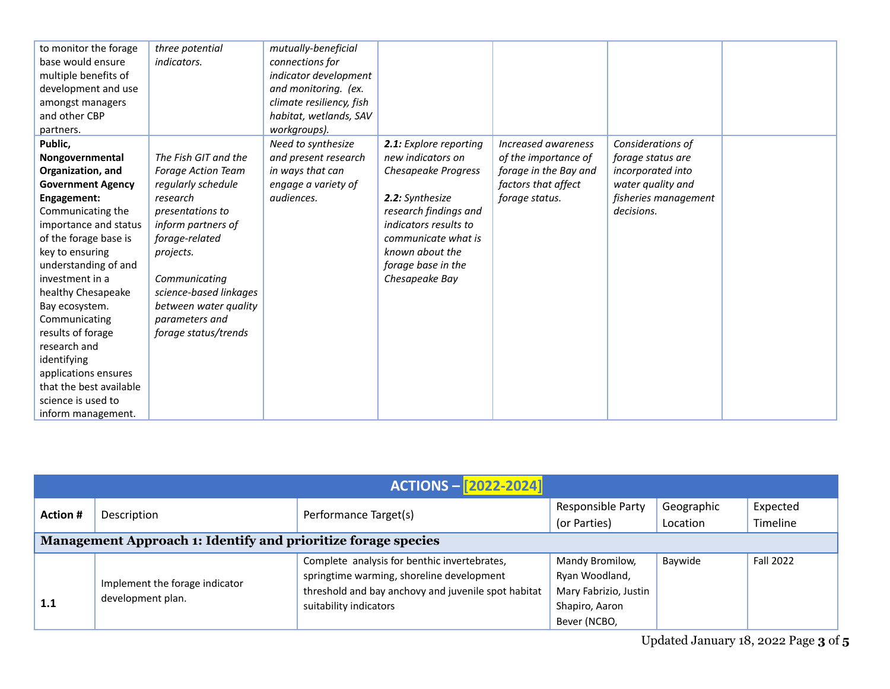| to monitor the forage    | three potential           | mutually-beneficial      |                        |                       |                      |  |
|--------------------------|---------------------------|--------------------------|------------------------|-----------------------|----------------------|--|
| base would ensure        | <i>indicators.</i>        | connections for          |                        |                       |                      |  |
| multiple benefits of     |                           | indicator development    |                        |                       |                      |  |
| development and use      |                           | and monitoring. (ex.     |                        |                       |                      |  |
| amongst managers         |                           | climate resiliency, fish |                        |                       |                      |  |
| and other CBP            |                           | habitat, wetlands, SAV   |                        |                       |                      |  |
| partners.                |                           | workgroups).             |                        |                       |                      |  |
| Public,                  |                           | Need to synthesize       | 2.1: Explore reporting | Increased awareness   | Considerations of    |  |
| Nongovernmental          | The Fish GIT and the      | and present research     | new indicators on      | of the importance of  | forage status are    |  |
| Organization, and        | <b>Forage Action Team</b> | in ways that can         | Chesapeake Progress    | forage in the Bay and | incorporated into    |  |
| <b>Government Agency</b> | regularly schedule        | engage a variety of      |                        | factors that affect   | water quality and    |  |
| Engagement:              | research                  | audiences.               | 2.2: Synthesize        | forage status.        | fisheries management |  |
| Communicating the        | presentations to          |                          | research findings and  |                       | decisions.           |  |
| importance and status    | inform partners of        |                          | indicators results to  |                       |                      |  |
| of the forage base is    | forage-related            |                          | communicate what is    |                       |                      |  |
| key to ensuring          | projects.                 |                          | known about the        |                       |                      |  |
| understanding of and     |                           |                          | forage base in the     |                       |                      |  |
| investment in a          | Communicating             |                          | Chesapeake Bay         |                       |                      |  |
| healthy Chesapeake       | science-based linkages    |                          |                        |                       |                      |  |
| Bay ecosystem.           | between water quality     |                          |                        |                       |                      |  |
| Communicating            | parameters and            |                          |                        |                       |                      |  |
| results of forage        | forage status/trends      |                          |                        |                       |                      |  |
| research and             |                           |                          |                        |                       |                      |  |
| identifying              |                           |                          |                        |                       |                      |  |
| applications ensures     |                           |                          |                        |                       |                      |  |
| that the best available  |                           |                          |                        |                       |                      |  |
| science is used to       |                           |                          |                        |                       |                      |  |
| inform management.       |                           |                          |                        |                       |                      |  |

| <b>ACTIONS - [2022-2024]</b>                                  |                                                     |                                                                                                                                                                            |                                                                                              |                        |                      |  |  |  |
|---------------------------------------------------------------|-----------------------------------------------------|----------------------------------------------------------------------------------------------------------------------------------------------------------------------------|----------------------------------------------------------------------------------------------|------------------------|----------------------|--|--|--|
| <b>Action #</b>                                               | Description                                         | Performance Target(s)                                                                                                                                                      | Responsible Party<br>(or Parties)                                                            | Geographic<br>Location | Expected<br>Timeline |  |  |  |
| Management Approach 1: Identify and prioritize forage species |                                                     |                                                                                                                                                                            |                                                                                              |                        |                      |  |  |  |
| 1.1                                                           | Implement the forage indicator<br>development plan. | Complete analysis for benthic invertebrates,<br>springtime warming, shoreline development<br>threshold and bay anchovy and juvenile spot habitat<br>suitability indicators | Mandy Bromilow,<br>Ryan Woodland,<br>Mary Fabrizio, Justin<br>Shapiro, Aaron<br>Bever (NCBO, | Baywide                | <b>Fall 2022</b>     |  |  |  |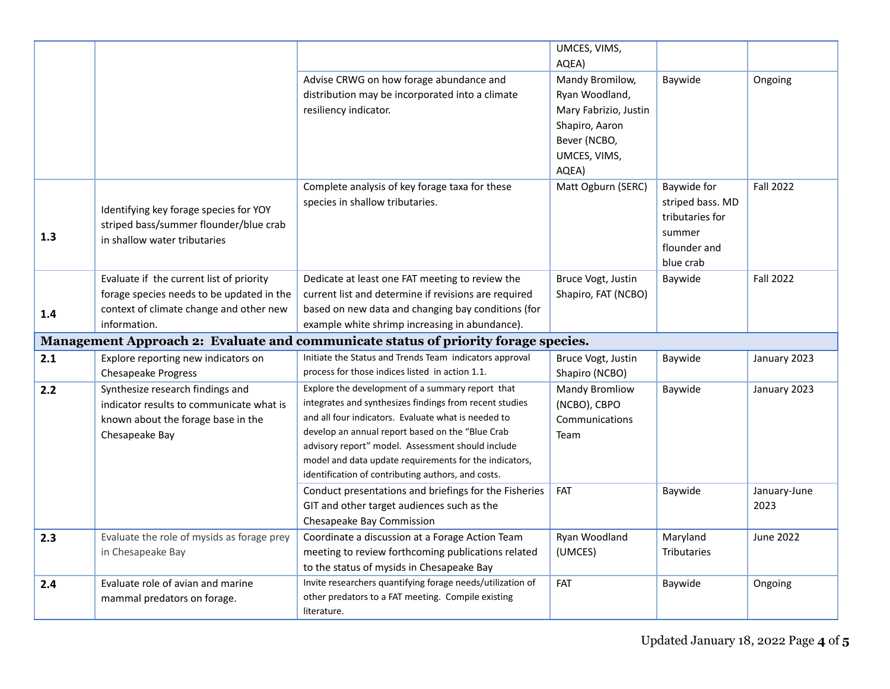|     |                                                                                                                                                  |                                                                                                                                                                                                                                                                                                                                                                                             | UMCES, VIMS,<br>AQEA)                                                                                                 |                                                                                           |                      |
|-----|--------------------------------------------------------------------------------------------------------------------------------------------------|---------------------------------------------------------------------------------------------------------------------------------------------------------------------------------------------------------------------------------------------------------------------------------------------------------------------------------------------------------------------------------------------|-----------------------------------------------------------------------------------------------------------------------|-------------------------------------------------------------------------------------------|----------------------|
|     |                                                                                                                                                  | Advise CRWG on how forage abundance and<br>distribution may be incorporated into a climate<br>resiliency indicator.                                                                                                                                                                                                                                                                         | Mandy Bromilow,<br>Ryan Woodland,<br>Mary Fabrizio, Justin<br>Shapiro, Aaron<br>Bever (NCBO,<br>UMCES, VIMS,<br>AQEA) | Baywide                                                                                   | Ongoing              |
| 1.3 | Identifying key forage species for YOY<br>striped bass/summer flounder/blue crab<br>in shallow water tributaries                                 | Complete analysis of key forage taxa for these<br>species in shallow tributaries.                                                                                                                                                                                                                                                                                                           | Matt Ogburn (SERC)                                                                                                    | Baywide for<br>striped bass. MD<br>tributaries for<br>summer<br>flounder and<br>blue crab | <b>Fall 2022</b>     |
| 1.4 | Evaluate if the current list of priority<br>forage species needs to be updated in the<br>context of climate change and other new<br>information. | Dedicate at least one FAT meeting to review the<br>current list and determine if revisions are required<br>based on new data and changing bay conditions (for<br>example white shrimp increasing in abundance).                                                                                                                                                                             | Bruce Vogt, Justin<br>Shapiro, FAT (NCBO)                                                                             | Baywide                                                                                   | <b>Fall 2022</b>     |
|     |                                                                                                                                                  | Management Approach 2: Evaluate and communicate status of priority forage species.                                                                                                                                                                                                                                                                                                          |                                                                                                                       |                                                                                           |                      |
| 2.1 | Explore reporting new indicators on<br><b>Chesapeake Progress</b>                                                                                | Initiate the Status and Trends Team indicators approval<br>process for those indices listed in action 1.1.                                                                                                                                                                                                                                                                                  | Bruce Vogt, Justin<br>Shapiro (NCBO)                                                                                  | Baywide                                                                                   | January 2023         |
| 2.2 | Synthesize research findings and<br>indicator results to communicate what is<br>known about the forage base in the<br>Chesapeake Bay             | Explore the development of a summary report that<br>integrates and synthesizes findings from recent studies<br>and all four indicators. Evaluate what is needed to<br>develop an annual report based on the "Blue Crab<br>advisory report" model. Assessment should include<br>model and data update requirements for the indicators,<br>identification of contributing authors, and costs. | <b>Mandy Bromliow</b><br>(NCBO), CBPO<br>Communications<br>Team                                                       | Baywide                                                                                   | January 2023         |
|     |                                                                                                                                                  | Conduct presentations and briefings for the Fisheries<br>GIT and other target audiences such as the<br>Chesapeake Bay Commission                                                                                                                                                                                                                                                            | FAT                                                                                                                   | Baywide                                                                                   | January-June<br>2023 |
| 2.3 | Evaluate the role of mysids as forage prey<br>in Chesapeake Bay                                                                                  | Coordinate a discussion at a Forage Action Team<br>meeting to review forthcoming publications related<br>to the status of mysids in Chesapeake Bay                                                                                                                                                                                                                                          | Ryan Woodland<br>(UMCES)                                                                                              | Maryland<br><b>Tributaries</b>                                                            | June 2022            |
| 2.4 | Evaluate role of avian and marine<br>mammal predators on forage.                                                                                 | Invite researchers quantifying forage needs/utilization of<br>other predators to a FAT meeting. Compile existing<br>literature.                                                                                                                                                                                                                                                             | FAT                                                                                                                   | Baywide                                                                                   | Ongoing              |